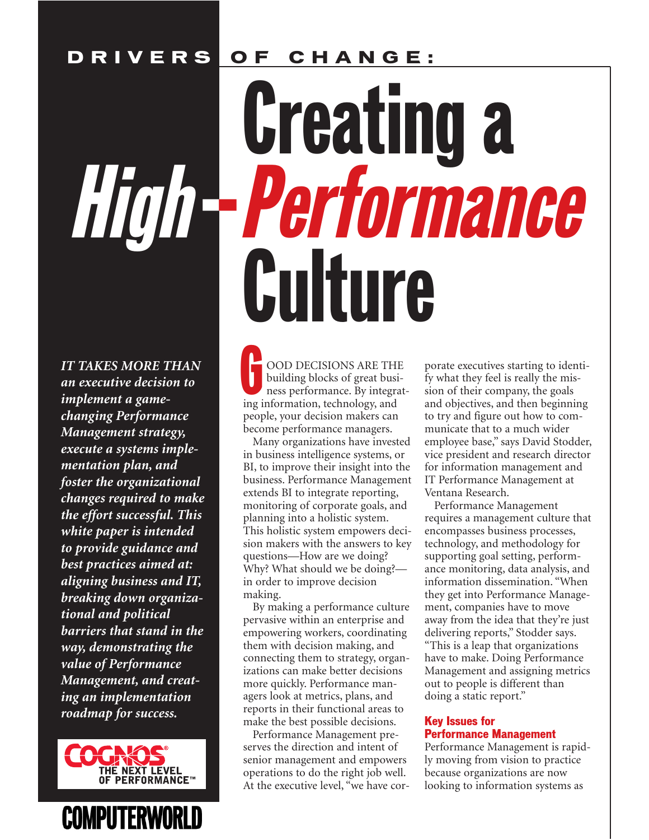### **DRIVERS OF CHANGE:**

# **Creating a**<br>High-Performance Culture

*IT TAKES MORE THAN an executive decision to implement a gamechanging Performance Management strategy, execute a systems implementation plan, and foster the organizational changes required to make the effort successful. This white paper is intended to provide guidance and best practices aimed at: aligning business and IT, breaking down organizational and political barriers that stand in the way, demonstrating the value of Performance Management, and creating an implementation roadmap for success.*

THE NEXT LEVEL<br>OF PERFORMANCE<sup>T</sup> **COMPUTERWORLD** 

OOD DECISIONS ARE THE building blocks of great business performance. By integrating information, technology, and people, your decision makers can become performance managers. G

Many organizations have invested in business intelligence systems, or BI, to improve their insight into the business. Performance Management extends BI to integrate reporting, monitoring of corporate goals, and planning into a holistic system. This holistic system empowers decision makers with the answers to key questions—How are we doing? Why? What should we be doing? in order to improve decision making.

By making a performance culture pervasive within an enterprise and empowering workers, coordinating them with decision making, and connecting them to strategy, organizations can make better decisions more quickly. Performance managers look at metrics, plans, and reports in their functional areas to make the best possible decisions.

Performance Management preserves the direction and intent of senior management and empowers operations to do the right job well. At the executive level, "we have cor-

porate executives starting to identify what they feel is really the mission of their company, the goals and objectives, and then beginning to try and figure out how to communicate that to a much wider employee base," says David Stodder, vice president and research director for information management and IT Performance Management at Ventana Research.

Performance Management requires a management culture that encompasses business processes, technology, and methodology for supporting goal setting, performance monitoring, data analysis, and information dissemination. "When they get into Performance Management, companies have to move away from the idea that they're just delivering reports," Stodder says. "This is a leap that organizations have to make. Doing Performance Management and assigning metrics out to people is different than doing a static report."

#### Key Issues for Performance Management

Performance Management is rapidly moving from vision to practice because organizations are now looking to information systems as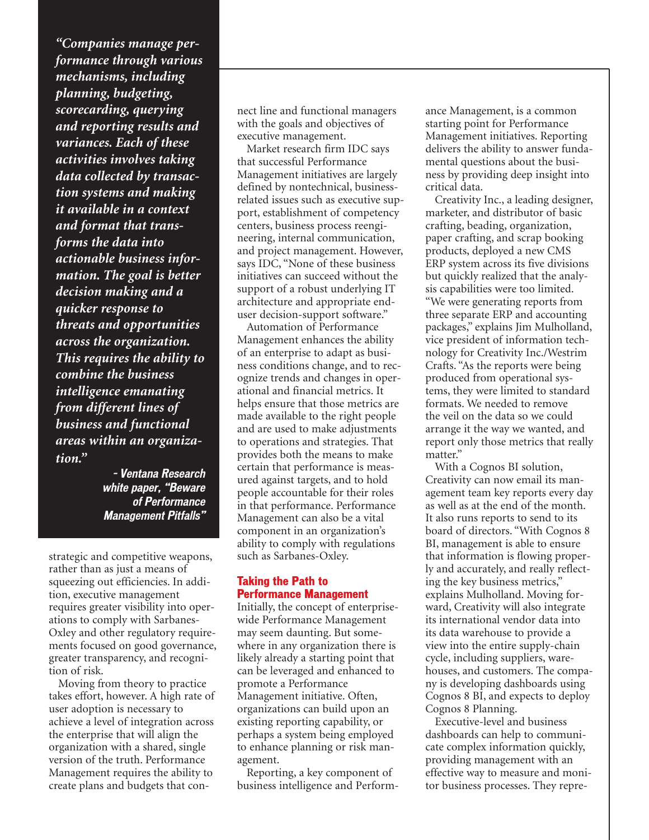*"Companies manage performance through various mechanisms, including planning, budgeting, scorecarding, querying and reporting results and variances. Each of these activities involves taking data collected by transaction systems and making it available in a context and format that transforms the data into actionable business information. The goal is better decision making and a quicker response to threats and opportunities across the organization. This requires the ability to combine the business intelligence emanating from different lines of business and functional areas within an organization."*

> **– Ventana Research white paper, "Beware of Performance Management Pitfalls"**

strategic and competitive weapons, rather than as just a means of squeezing out efficiencies. In addition, executive management requires greater visibility into operations to comply with Sarbanes-Oxley and other regulatory requirements focused on good governance, greater transparency, and recognition of risk.

Moving from theory to practice takes effort, however. A high rate of user adoption is necessary to achieve a level of integration across the enterprise that will align the organization with a shared, single version of the truth. Performance Management requires the ability to create plans and budgets that connect line and functional managers with the goals and objectives of executive management.

Market research firm IDC says that successful Performance Management initiatives are largely defined by nontechnical, businessrelated issues such as executive support, establishment of competency centers, business process reengineering, internal communication, and project management. However, says IDC, "None of these business initiatives can succeed without the support of a robust underlying IT architecture and appropriate enduser decision-support software."

Automation of Performance Management enhances the ability of an enterprise to adapt as business conditions change, and to recognize trends and changes in operational and financial metrics. It helps ensure that those metrics are made available to the right people and are used to make adjustments to operations and strategies. That provides both the means to make certain that performance is measured against targets, and to hold people accountable for their roles in that performance. Performance Management can also be a vital component in an organization's ability to comply with regulations such as Sarbanes-Oxley.

#### Taking the Path to Performance Management

Initially, the concept of enterprisewide Performance Management may seem daunting. But somewhere in any organization there is likely already a starting point that can be leveraged and enhanced to promote a Performance Management initiative. Often, organizations can build upon an existing reporting capability, or perhaps a system being employed to enhance planning or risk management.

Reporting, a key component of business intelligence and Perform-

ance Management, is a common starting point for Performance Management initiatives. Reporting delivers the ability to answer fundamental questions about the business by providing deep insight into critical data.

Creativity Inc., a leading designer, marketer, and distributor of basic crafting, beading, organization, paper crafting, and scrap booking products, deployed a new CMS ERP system across its five divisions but quickly realized that the analysis capabilities were too limited. "We were generating reports from three separate ERP and accounting packages," explains Jim Mulholland, vice president of information technology for Creativity Inc./Westrim Crafts. "As the reports were being produced from operational systems, they were limited to standard formats. We needed to remove the veil on the data so we could arrange it the way we wanted, and report only those metrics that really matter."

With a Cognos BI solution, Creativity can now email its management team key reports every day as well as at the end of the month. It also runs reports to send to its board of directors. "With Cognos 8 BI, management is able to ensure that information is flowing properly and accurately, and really reflecting the key business metrics," explains Mulholland. Moving forward, Creativity will also integrate its international vendor data into its data warehouse to provide a view into the entire supply-chain cycle, including suppliers, warehouses, and customers. The company is developing dashboards using Cognos 8 BI, and expects to deploy Cognos 8 Planning.

Executive-level and business dashboards can help to communicate complex information quickly, providing management with an effective way to measure and monitor business processes. They repre-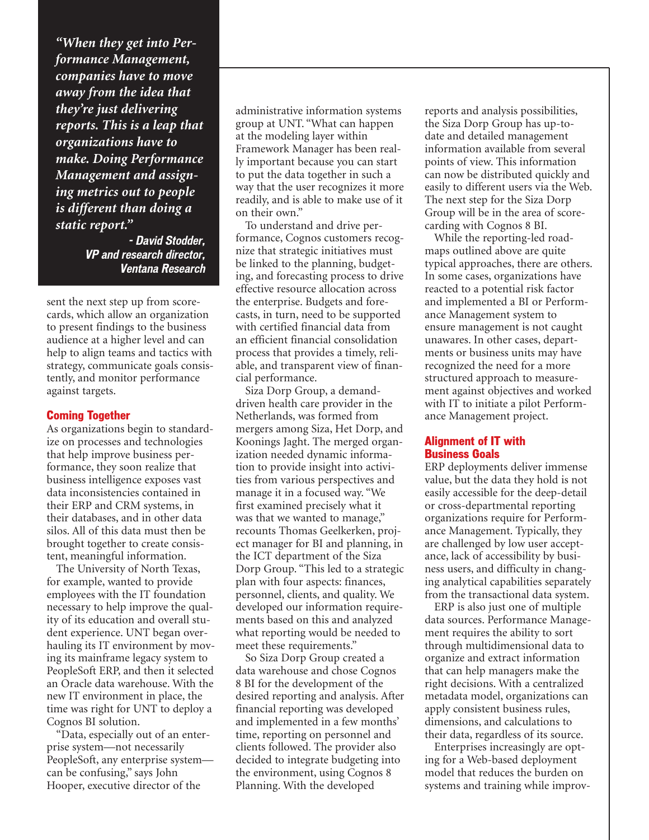*"When they get into Performance Management, companies have to move away from the idea that they're just delivering reports. This is a leap that organizations have to make. Doing Performance Management and assigning metrics out to people is different than doing a static report."*

> **- David Stodder, VP and research director, Ventana Research**

sent the next step up from scorecards, which allow an organization to present findings to the business audience at a higher level and can help to align teams and tactics with strategy, communicate goals consistently, and monitor performance against targets.

#### Coming Together

As organizations begin to standardize on processes and technologies that help improve business performance, they soon realize that business intelligence exposes vast data inconsistencies contained in their ERP and CRM systems, in their databases, and in other data silos. All of this data must then be brought together to create consistent, meaningful information.

The University of North Texas, for example, wanted to provide employees with the IT foundation necessary to help improve the quality of its education and overall student experience. UNT began overhauling its IT environment by moving its mainframe legacy system to PeopleSoft ERP, and then it selected an Oracle data warehouse. With the new IT environment in place, the time was right for UNT to deploy a Cognos BI solution.

"Data, especially out of an enterprise system—not necessarily PeopleSoft, any enterprise system can be confusing," says John Hooper, executive director of the

administrative information systems group at UNT. "What can happen at the modeling layer within Framework Manager has been really important because you can start to put the data together in such a way that the user recognizes it more readily, and is able to make use of it on their own."

To understand and drive performance, Cognos customers recognize that strategic initiatives must be linked to the planning, budgeting, and forecasting process to drive effective resource allocation across the enterprise. Budgets and forecasts, in turn, need to be supported with certified financial data from an efficient financial consolidation process that provides a timely, reliable, and transparent view of financial performance.

Siza Dorp Group, a demanddriven health care provider in the Netherlands, was formed from mergers among Siza, Het Dorp, and Koonings Jaght. The merged organization needed dynamic information to provide insight into activities from various perspectives and manage it in a focused way. "We first examined precisely what it was that we wanted to manage," recounts Thomas Geelkerken, project manager for BI and planning, in the ICT department of the Siza Dorp Group. "This led to a strategic plan with four aspects: finances, personnel, clients, and quality. We developed our information requirements based on this and analyzed what reporting would be needed to meet these requirements."

So Siza Dorp Group created a data warehouse and chose Cognos 8 BI for the development of the desired reporting and analysis. After financial reporting was developed and implemented in a few months' time, reporting on personnel and clients followed. The provider also decided to integrate budgeting into the environment, using Cognos 8 Planning. With the developed

reports and analysis possibilities, the Siza Dorp Group has up-todate and detailed management information available from several points of view. This information can now be distributed quickly and easily to different users via the Web. The next step for the Siza Dorp Group will be in the area of scorecarding with Cognos 8 BI.

While the reporting-led roadmaps outlined above are quite typical approaches, there are others. In some cases, organizations have reacted to a potential risk factor and implemented a BI or Performance Management system to ensure management is not caught unawares. In other cases, departments or business units may have recognized the need for a more structured approach to measurement against objectives and worked with IT to initiate a pilot Performance Management project.

#### Alignment of IT with Business Goals

ERP deployments deliver immense value, but the data they hold is not easily accessible for the deep-detail or cross-departmental reporting organizations require for Performance Management. Typically, they are challenged by low user acceptance, lack of accessibility by business users, and difficulty in changing analytical capabilities separately from the transactional data system.

ERP is also just one of multiple data sources. Performance Management requires the ability to sort through multidimensional data to organize and extract information that can help managers make the right decisions. With a centralized metadata model, organizations can apply consistent business rules, dimensions, and calculations to their data, regardless of its source.

Enterprises increasingly are opting for a Web-based deployment model that reduces the burden on systems and training while improv-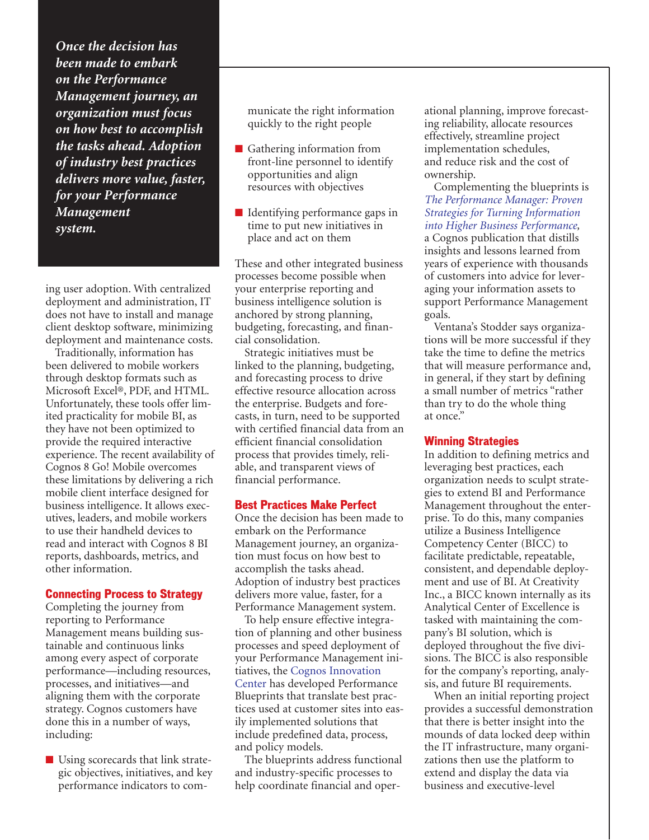*Once the decision has been made to embark on the Performance Management journey, an organization must focus on how best to accomplish the tasks ahead. Adoption of industry best practices delivers more value, faster, for your Performance Management system.*

ing user adoption. With centralized deployment and administration, IT does not have to install and manage client desktop software, minimizing deployment and maintenance costs.

Traditionally, information has been delivered to mobile workers through desktop formats such as Microsoft Excel®, PDF, and HTML. Unfortunately, these tools offer limited practicality for mobile BI, as they have not been optimized to provide the required interactive experience. The recent availability of Cognos 8 Go! Mobile overcomes these limitations by delivering a rich mobile client interface designed for business intelligence. It allows executives, leaders, and mobile workers to use their handheld devices to read and interact with Cognos 8 BI reports, dashboards, metrics, and other information.

#### Connecting Process to Strategy

Completing the journey from reporting to Performance Management means building sustainable and continuous links among every aspect of corporate performance—including resources, processes, and initiatives—and aligning them with the corporate strategy. Cognos customers have done this in a number of ways, including:

■ Using scorecards that link strategic objectives, initiatives, and key performance indicators to com-

municate the right information quickly to the right people

- Gathering information from front-line personnel to identify opportunities and align resources with objectives
- Identifying performance gaps in time to put new initiatives in place and act on them

These and other integrated business processes become possible when your enterprise reporting and business intelligence solution is anchored by strong planning, budgeting, forecasting, and financial consolidation.

Strategic initiatives must be linked to the planning, budgeting, and forecasting process to drive effective resource allocation across the enterprise. Budgets and forecasts, in turn, need to be supported with certified financial data from an efficient financial consolidation process that provides timely, reliable, and transparent views of financial performance.

#### Best Practices Make Perfect

Once the decision has been made to embark on the Performance Management journey, an organization must focus on how best to accomplish the tasks ahead. Adoption of industry best practices delivers more value, faster, for a Performance Management system.

To help ensure effective integration of planning and other business processes and speed deployment of your Performance Management ini[tiatives, the Cognos Innovation](http://www.cognos.com/performance-management/best-practices.html) Center has developed Performance Blueprints that translate best practices used at customer sites into easily implemented solutions that include predefined data, process, and policy models.

The blueprints address functional and industry-specific processes to help coordinate financial and operational planning, improve forecasting reliability, allocate resources effectively, streamline project implementation schedules, and reduce risk and the cost of ownership.

Complementing the blueprints is *[The Performance Manager: Proven](http://forms.cognos.com/?elqPURLPage=1071&mc=-web) Strategies for Turning Information into Higher Business Performance,* a Cognos publication that distills insights and lessons learned from years of experience with thousands of customers into advice for leveraging your information assets to support Performance Management goals.

Ventana's Stodder says organizations will be more successful if they take the time to define the metrics that will measure performance and, in general, if they start by defining a small number of metrics "rather than try to do the whole thing at once."

#### Winning Strategies

In addition to defining metrics and leveraging best practices, each organization needs to sculpt strategies to extend BI and Performance Management throughout the enterprise. To do this, many companies utilize a Business Intelligence Competency Center (BICC) to facilitate predictable, repeatable, consistent, and dependable deployment and use of BI. At Creativity Inc., a BICC known internally as its Analytical Center of Excellence is tasked with maintaining the company's BI solution, which is deployed throughout the five divisions. The BICC is also responsible for the company's reporting, analysis, and future BI requirements.

When an initial reporting project provides a successful demonstration that there is better insight into the mounds of data locked deep within the IT infrastructure, many organizations then use the platform to extend and display the data via business and executive-level